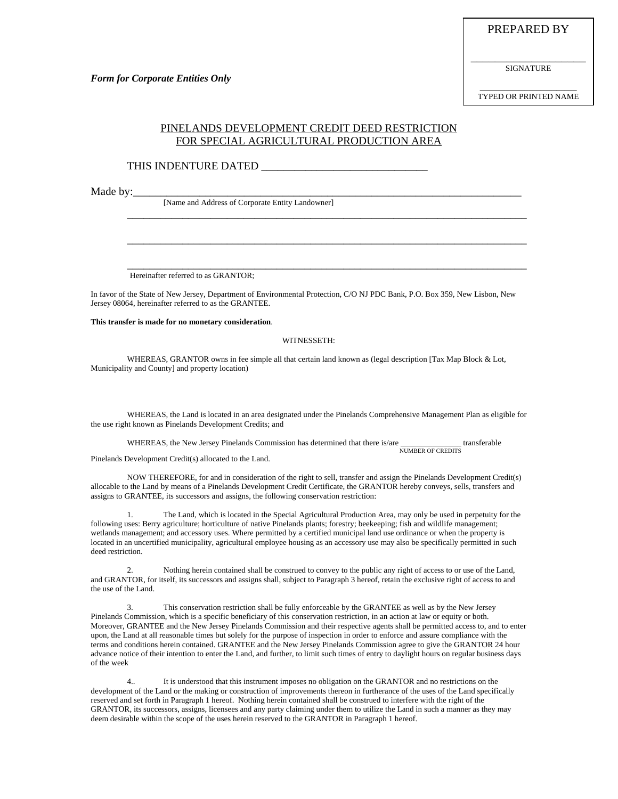PREPARED BY

\_\_\_\_\_\_\_\_\_\_\_\_\_\_\_\_\_\_\_ SIGNATURE

\_\_\_\_\_\_\_\_\_\_\_\_\_\_\_\_\_\_\_\_\_\_\_\_ TYPED OR PRINTED NAME

## PINELANDS DEVELOPMENT CREDIT DEED RESTRICTION FOR SPECIAL AGRICULTURAL PRODUCTION AREA

\_\_\_\_\_\_\_\_\_\_\_\_\_\_\_\_\_\_\_\_\_\_\_\_\_\_\_\_\_\_\_\_\_\_\_\_\_\_\_\_\_\_\_\_\_\_\_\_\_\_\_\_\_\_\_\_\_\_\_\_\_\_\_\_\_\_\_\_\_\_\_\_

\_\_\_\_\_\_\_\_\_\_\_\_\_\_\_\_\_\_\_\_\_\_\_\_\_\_\_\_\_\_\_\_\_\_\_\_\_\_\_\_\_\_\_\_\_\_\_\_\_\_\_\_\_\_\_\_\_\_\_\_\_\_\_\_\_\_\_\_\_\_\_\_

\_\_\_\_\_\_\_\_\_\_\_\_\_\_\_\_\_\_\_\_\_\_\_\_\_\_\_\_\_\_\_\_\_\_\_\_\_\_\_\_\_\_\_\_\_\_\_\_\_\_\_\_\_\_\_\_\_\_\_\_\_\_\_\_\_\_\_\_\_\_\_\_

### THIS INDENTURE DATED

Made by:\_\_\_

[Name and Address of Corporate Entity Landowner]

Hereinafter referred to as GRANTOR;

In favor of the State of New Jersey, Department of Environmental Protection, C/O NJ PDC Bank, P.O. Box 359, New Lisbon, New Jersey 08064, hereinafter referred to as the GRANTEE.

#### **This transfer is made for no monetary consideration**.

#### WITNESSETH:

WHEREAS, GRANTOR owns in fee simple all that certain land known as (legal description [Tax Map Block & Lot, Municipality and County] and property location)

WHEREAS, the Land is located in an area designated under the Pinelands Comprehensive Management Plan as eligible for the use right known as Pinelands Development Credits; and

WHEREAS, the New Jersey Pinelands Commission has determined that there is/are \_\_\_\_\_\_\_\_\_\_\_\_\_\_\_ transferable NUMBER OF CREDITS

Pinelands Development Credit(s) allocated to the Land.

 NOW THEREFORE, for and in consideration of the right to sell, transfer and assign the Pinelands Development Credit(s) allocable to the Land by means of a Pinelands Development Credit Certificate, the GRANTOR hereby conveys, sells, transfers and assigns to GRANTEE, its successors and assigns, the following conservation restriction:

 1. The Land, which is located in the Special Agricultural Production Area, may only be used in perpetuity for the following uses: Berry agriculture; horticulture of native Pinelands plants; forestry; beekeeping; fish and wildlife management; wetlands management; and accessory uses. Where permitted by a certified municipal land use ordinance or when the property is located in an uncertified municipality, agricultural employee housing as an accessory use may also be specifically permitted in such deed restriction.

 2. Nothing herein contained shall be construed to convey to the public any right of access to or use of the Land, and GRANTOR, for itself, its successors and assigns shall, subject to Paragraph 3 hereof, retain the exclusive right of access to and the use of the Land.

 3. This conservation restriction shall be fully enforceable by the GRANTEE as well as by the New Jersey Pinelands Commission, which is a specific beneficiary of this conservation restriction, in an action at law or equity or both. Moreover, GRANTEE and the New Jersey Pinelands Commission and their respective agents shall be permitted access to, and to enter upon, the Land at all reasonable times but solely for the purpose of inspection in order to enforce and assure compliance with the terms and conditions herein contained. GRANTEE and the New Jersey Pinelands Commission agree to give the GRANTOR 24 hour advance notice of their intention to enter the Land, and further, to limit such times of entry to daylight hours on regular business days of the week

It is understood that this instrument imposes no obligation on the GRANTOR and no restrictions on the development of the Land or the making or construction of improvements thereon in furtherance of the uses of the Land specifically reserved and set forth in Paragraph 1 hereof. Nothing herein contained shall be construed to interfere with the right of the GRANTOR, its successors, assigns, licensees and any party claiming under them to utilize the Land in such a manner as they may deem desirable within the scope of the uses herein reserved to the GRANTOR in Paragraph 1 hereof.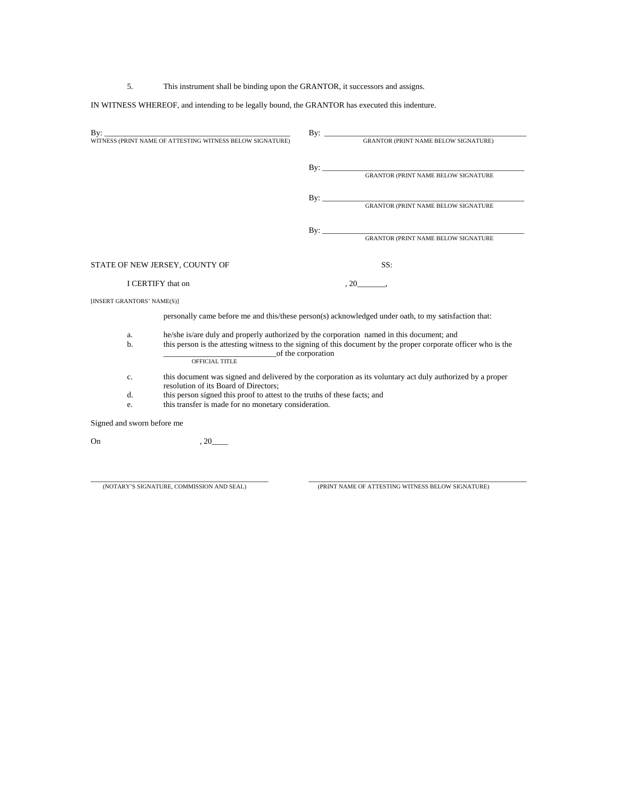5. This instrument shall be binding upon the GRANTOR, it successors and assigns.

IN WITNESS WHEREOF, and intending to be legally bound, the GRANTOR has executed this indenture.

| By:                            |                                                                                                                                                                |  |                                         |
|--------------------------------|----------------------------------------------------------------------------------------------------------------------------------------------------------------|--|-----------------------------------------|
|                                |                                                                                                                                                                |  |                                         |
|                                |                                                                                                                                                                |  | By: GRANTOR (PRINT NAME BELOW SIGNATURE |
|                                |                                                                                                                                                                |  |                                         |
|                                |                                                                                                                                                                |  |                                         |
|                                |                                                                                                                                                                |  |                                         |
|                                |                                                                                                                                                                |  | By: GRANTOR (PRINT NAME BELOW SIGNATURE |
|                                |                                                                                                                                                                |  |                                         |
| STATE OF NEW JERSEY, COUNTY OF |                                                                                                                                                                |  | SS:                                     |
| I CERTIFY that on              |                                                                                                                                                                |  | $.20$ .                                 |
| [INSERT GRANTORS' NAME(S)]     |                                                                                                                                                                |  |                                         |
|                                | personally came before me and this/these person(s) acknowledged under oath, to my satisfaction that:                                                           |  |                                         |
| a.                             | he/she is/are duly and properly authorized by the corporation named in this document; and                                                                      |  |                                         |
| b.                             | this person is the attesting witness to the signing of this document by the proper corporate officer who is the<br>of the corporation<br><b>OFFICIAL TITLE</b> |  |                                         |
| c.                             | this document was signed and delivered by the corporation as its voluntary act duly authorized by a proper<br>resolution of its Board of Directors;            |  |                                         |
| d.                             | this person signed this proof to attest to the truths of these facts; and                                                                                      |  |                                         |
| e.                             | this transfer is made for no monetary consideration.                                                                                                           |  |                                         |
| Signed and sworn before me     |                                                                                                                                                                |  |                                         |
| On                             | , 20                                                                                                                                                           |  |                                         |
|                                |                                                                                                                                                                |  |                                         |

\_\_\_\_\_\_\_\_\_\_\_\_\_\_\_\_\_\_\_\_\_\_\_\_\_\_\_\_\_\_\_\_\_\_\_\_\_\_\_\_\_\_\_\_ \_\_\_\_\_\_\_\_\_\_\_\_\_\_\_\_\_\_\_\_\_\_\_\_\_\_\_\_\_\_\_\_\_\_\_\_\_\_\_\_\_\_\_\_\_\_\_\_\_\_\_\_\_\_ (NOTARY'S SIGNATURE, COMMISSION AND SEAL) (PRINT NAME OF ATTESTING WITNESS BELOW SIGNATURE)